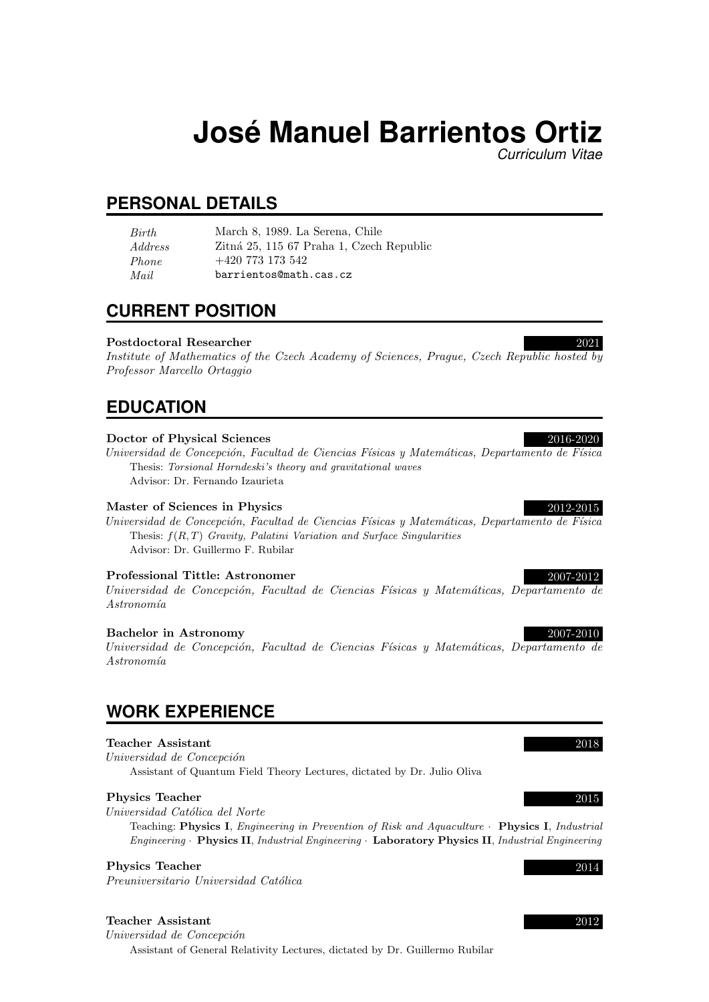# **Jose Manuel Barrientos Ortiz ´**

*Curriculum Vitae*

## **PERSONAL DETAILS**

| <i>Birth</i> | March 8, 1989. La Serena, Chile          |
|--------------|------------------------------------------|
| Address      | Zitná 25, 115 67 Praha 1, Czech Republic |
| Phone        | $+420\,773\,173\,542$                    |
| Mail         | barrientos@math.cas.cz                   |

## **CURRENT POSITION**

## Postdoctoral Researcher 2021

Institute of Mathematics of the Czech Academy of Sciences, Prague, Czech Republic hosted by Professor Marcello Ortaggio

## **EDUCATION**

## Doctor of Physical Sciences 2016-2020

Universidad de Concepción, Facultad de Ciencias Físicas y Matemáticas, Departamento de Física Thesis: Torsional Horndeski's theory and gravitational waves Advisor: Dr. Fernando Izaurieta

## Master of Sciences in Physics 2012-2015

Universidad de Concepción, Facultad de Ciencias Físicas y Matemáticas, Departamento de Física Thesis:  $f(R, T)$  Gravity, Palatini Variation and Surface Singularities Advisor: Dr. Guillermo F. Rubilar

## Professional Tittle: Astronomer 2007-2012

Universidad de Concepción, Facultad de Ciencias Físicas y Matemáticas, Departamento de  $Astronomia$ 

## Bachelor in Astronomy

Universidad de Concepción, Facultad de Ciencias Físicas y Matemáticas, Departamento de  $Astronomia$ 

## **WORK EXPERIENCE**

## Teacher Assistant 2018

Universidad de Concepción Assistant of Quantum Field Theory Lectures, dictated by Dr. Julio Oliva

## Physics Teacher 2015

Universidad Católica del Norte

Teaching: Physics I, Engineering in Prevention of Risk and Aquaculture · Physics I, Industrial Engineering · Physics II, Industrial Engineering · Laboratory Physics II, Industrial Engineering

## Physics Teacher 2014

Preuniversitario Universidad Católica

## Teacher Assistant 2012

Universidad de Concepción Assistant of General Relativity Lectures, dictated by Dr. Guillermo Rubilar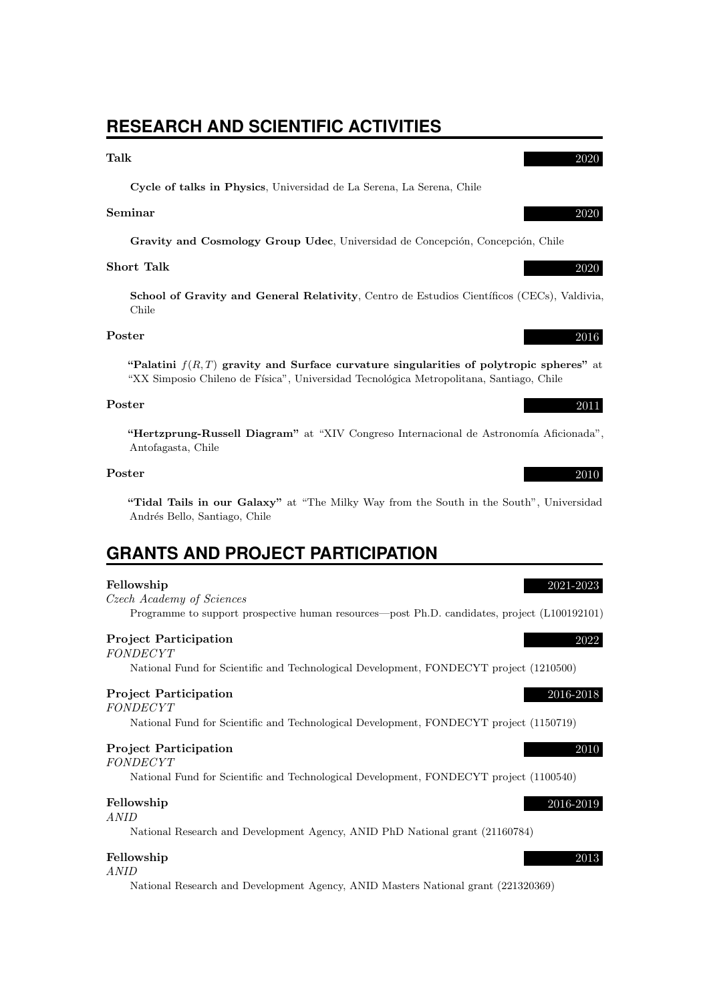## **RESEARCH AND SCIENTIFIC ACTIVITIES**

## Talk 2020

Cycle of talks in Physics, Universidad de La Serena, La Serena, Chile

### Seminar 2020

Gravity and Cosmology Group Udec, Universidad de Concepción, Concepción, Chile

## Short Talk 2020

School of Gravity and General Relativity, Centro de Estudios Científicos (CECs), Valdivia, Chile

## Poster 2016

"Palatini  $f(R,T)$  gravity and Surface curvature singularities of polytropic spheres" at "XX Simposio Chileno de Física", Universidad Tecnológica Metropolitana, Santiago, Chile

### Poster 2011

"Hertzprung-Russell Diagram" at "XIV Congreso Internacional de Astronomía Aficionada", Antofagasta, Chile

### Poster 2010

"Tidal Tails in our Galaxy" at "The Milky Way from the South in the South", Universidad Andrés Bello, Santiago, Chile

## **GRANTS AND PROJECT PARTICIPATION**

### Fellowship 2021-2023

Czech Academy of Sciences Programme to support prospective human resources—post Ph.D. candidates, project (L100192101)

### Project Participation 2022

### FONDECYT

National Fund for Scientific and Technological Development, FONDECYT project (1210500)

### Project Participation 2016-2018

FONDECYT

National Fund for Scientific and Technological Development, FONDECYT project (1150719)

## Project Participation 2010

FONDECYT

National Fund for Scientific and Technological Development, FONDECYT project (1100540)

## Fellowship 2016-2019

ANID

National Research and Development Agency, ANID PhD National grant (21160784)

### Fellowship 2013

### ANID

National Research and Development Agency, ANID Masters National grant (221320369)